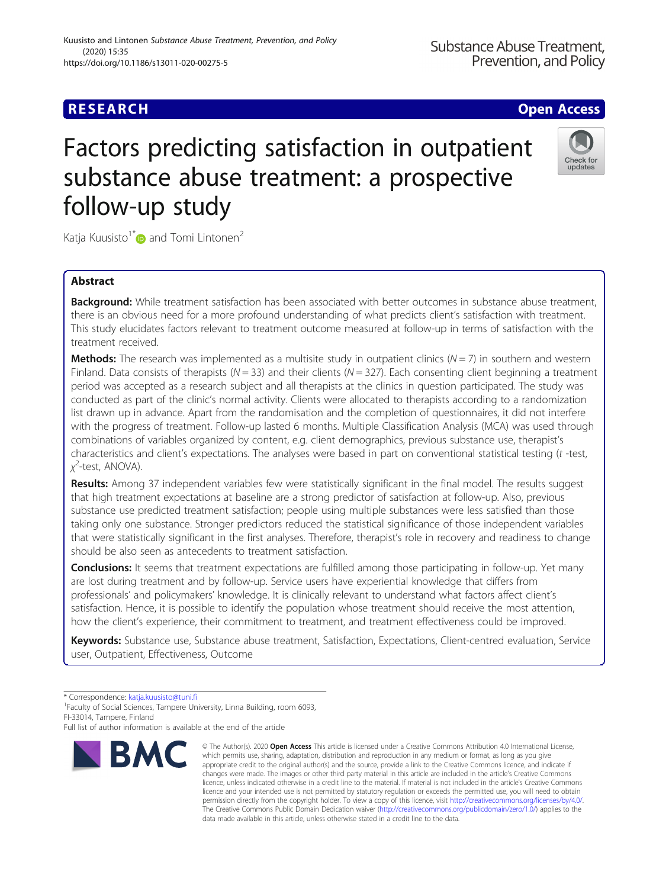# **RESEARCH CHE Open Access**

# Factors predicting satisfaction in outpatient substance abuse treatment: a prospective follow-up study



Katja Kuusisto<sup>1\*</sup> and Tomi Lintonen<sup>2</sup>

## Abstract

**Background:** While treatment satisfaction has been associated with better outcomes in substance abuse treatment, there is an obvious need for a more profound understanding of what predicts client's satisfaction with treatment. This study elucidates factors relevant to treatment outcome measured at follow-up in terms of satisfaction with the treatment received.

**Methods:** The research was implemented as a multisite study in outpatient clinics ( $N = 7$ ) in southern and western Finland. Data consists of therapists ( $N = 33$ ) and their clients ( $N = 327$ ). Each consenting client beginning a treatment period was accepted as a research subject and all therapists at the clinics in question participated. The study was conducted as part of the clinic's normal activity. Clients were allocated to therapists according to a randomization list drawn up in advance. Apart from the randomisation and the completion of questionnaires, it did not interfere with the progress of treatment. Follow-up lasted 6 months. Multiple Classification Analysis (MCA) was used through combinations of variables organized by content, e.g. client demographics, previous substance use, therapist's characteristics and client's expectations. The analyses were based in part on conventional statistical testing (t -test, χ<sup>2</sup>-test, ANOVA).

Results: Among 37 independent variables few were statistically significant in the final model. The results suggest that high treatment expectations at baseline are a strong predictor of satisfaction at follow-up. Also, previous substance use predicted treatment satisfaction; people using multiple substances were less satisfied than those taking only one substance. Stronger predictors reduced the statistical significance of those independent variables that were statistically significant in the first analyses. Therefore, therapist's role in recovery and readiness to change should be also seen as antecedents to treatment satisfaction.

**Conclusions:** It seems that treatment expectations are fulfilled among those participating in follow-up. Yet many are lost during treatment and by follow-up. Service users have experiential knowledge that differs from professionals' and policymakers' knowledge. It is clinically relevant to understand what factors affect client's satisfaction. Hence, it is possible to identify the population whose treatment should receive the most attention, how the client's experience, their commitment to treatment, and treatment effectiveness could be improved.

Keywords: Substance use, Substance abuse treatment, Satisfaction, Expectations, Client-centred evaluation, Service user, Outpatient, Effectiveness, Outcome

<sup>1</sup>Faculty of Social Sciences, Tampere University, Linna Building, room 6093, FI-33014, Tampere, Finland

Full list of author information is available at the end of the article



<sup>©</sup> The Author(s), 2020 **Open Access** This article is licensed under a Creative Commons Attribution 4.0 International License, which permits use, sharing, adaptation, distribution and reproduction in any medium or format, as long as you give appropriate credit to the original author(s) and the source, provide a link to the Creative Commons licence, and indicate if changes were made. The images or other third party material in this article are included in the article's Creative Commons licence, unless indicated otherwise in a credit line to the material. If material is not included in the article's Creative Commons licence and your intended use is not permitted by statutory regulation or exceeds the permitted use, you will need to obtain permission directly from the copyright holder. To view a copy of this licence, visit [http://creativecommons.org/licenses/by/4.0/.](http://creativecommons.org/licenses/by/4.0/) The Creative Commons Public Domain Dedication waiver [\(http://creativecommons.org/publicdomain/zero/1.0/](http://creativecommons.org/publicdomain/zero/1.0/)) applies to the data made available in this article, unless otherwise stated in a credit line to the data.

<sup>\*</sup> Correspondence: [katja.kuusisto@tuni.fi](mailto:katja.kuusisto@tuni.fi) <sup>1</sup>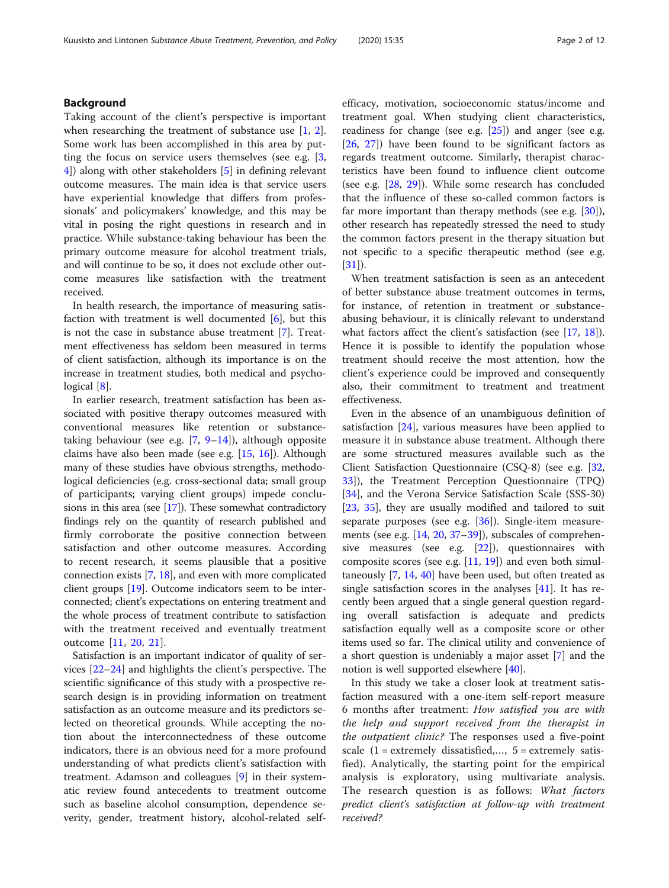### Background

Taking account of the client's perspective is important when researching the treatment of substance use [\[1](#page-9-0), [2](#page-9-0)]. Some work has been accomplished in this area by putting the focus on service users themselves (see e.g. [\[3](#page-9-0), [4\]](#page-9-0)) along with other stakeholders [\[5](#page-9-0)] in defining relevant outcome measures. The main idea is that service users have experiential knowledge that differs from professionals' and policymakers' knowledge, and this may be vital in posing the right questions in research and in practice. While substance-taking behaviour has been the primary outcome measure for alcohol treatment trials, and will continue to be so, it does not exclude other outcome measures like satisfaction with the treatment received.

In health research, the importance of measuring satisfaction with treatment is well documented [[6\]](#page-9-0), but this is not the case in substance abuse treatment [[7\]](#page-10-0). Treatment effectiveness has seldom been measured in terms of client satisfaction, although its importance is on the increase in treatment studies, both medical and psycho-logical [\[8\]](#page-10-0).

In earlier research, treatment satisfaction has been associated with positive therapy outcomes measured with conventional measures like retention or substancetaking behaviour (see e.g.  $[7, 9-14]$  $[7, 9-14]$  $[7, 9-14]$  $[7, 9-14]$  $[7, 9-14]$  $[7, 9-14]$ ), although opposite claims have also been made (see e.g. [[15,](#page-10-0) [16](#page-10-0)]). Although many of these studies have obvious strengths, methodological deficiencies (e.g. cross-sectional data; small group of participants; varying client groups) impede conclusions in this area (see [[17\]](#page-10-0)). These somewhat contradictory findings rely on the quantity of research published and firmly corroborate the positive connection between satisfaction and other outcome measures. According to recent research, it seems plausible that a positive connection exists [[7,](#page-10-0) [18](#page-10-0)], and even with more complicated client groups [\[19](#page-10-0)]. Outcome indicators seem to be interconnected; client's expectations on entering treatment and the whole process of treatment contribute to satisfaction with the treatment received and eventually treatment outcome [\[11](#page-10-0), [20](#page-10-0), [21\]](#page-10-0).

Satisfaction is an important indicator of quality of services [[22](#page-10-0)–[24](#page-10-0)] and highlights the client's perspective. The scientific significance of this study with a prospective research design is in providing information on treatment satisfaction as an outcome measure and its predictors selected on theoretical grounds. While accepting the notion about the interconnectedness of these outcome indicators, there is an obvious need for a more profound understanding of what predicts client's satisfaction with treatment. Adamson and colleagues [[9\]](#page-10-0) in their systematic review found antecedents to treatment outcome such as baseline alcohol consumption, dependence severity, gender, treatment history, alcohol-related selfefficacy, motivation, socioeconomic status/income and treatment goal. When studying client characteristics, readiness for change (see e.g.  $[25]$  $[25]$  $[25]$ ) and anger (see e.g. [[26,](#page-10-0) [27\]](#page-10-0)) have been found to be significant factors as regards treatment outcome. Similarly, therapist characteristics have been found to influence client outcome (see e.g. [[28,](#page-10-0) [29](#page-10-0)]). While some research has concluded that the influence of these so-called common factors is far more important than therapy methods (see e.g. [\[30](#page-10-0)]), other research has repeatedly stressed the need to study the common factors present in the therapy situation but not specific to a specific therapeutic method (see e.g. [[31\]](#page-10-0)).

When treatment satisfaction is seen as an antecedent of better substance abuse treatment outcomes in terms, for instance, of retention in treatment or substanceabusing behaviour, it is clinically relevant to understand what factors affect the client's satisfaction (see [[17,](#page-10-0) [18](#page-10-0)]). Hence it is possible to identify the population whose treatment should receive the most attention, how the client's experience could be improved and consequently also, their commitment to treatment and treatment effectiveness.

Even in the absence of an unambiguous definition of satisfaction [\[24](#page-10-0)], various measures have been applied to measure it in substance abuse treatment. Although there are some structured measures available such as the Client Satisfaction Questionnaire (CSQ-8) (see e.g. [[32](#page-10-0), [33\]](#page-10-0)), the Treatment Perception Questionnaire (TPQ) [[34\]](#page-10-0), and the Verona Service Satisfaction Scale (SSS-30) [[23,](#page-10-0) [35](#page-10-0)], they are usually modified and tailored to suit separate purposes (see e.g. [\[36](#page-10-0)]). Single-item measurements (see e.g. [[14,](#page-10-0) [20](#page-10-0), [37](#page-10-0)–[39](#page-10-0)]), subscales of comprehensive measures (see e.g. [[22](#page-10-0)]), questionnaires with composite scores (see e.g.  $[11, 19]$  $[11, 19]$  $[11, 19]$  $[11, 19]$  $[11, 19]$ ) and even both simultaneously [\[7](#page-10-0), [14](#page-10-0), [40](#page-10-0)] have been used, but often treated as single satisfaction scores in the analyses  $[41]$  $[41]$ . It has recently been argued that a single general question regarding overall satisfaction is adequate and predicts satisfaction equally well as a composite score or other items used so far. The clinical utility and convenience of a short question is undeniably a major asset [\[7](#page-10-0)] and the notion is well supported elsewhere [[40\]](#page-10-0).

In this study we take a closer look at treatment satisfaction measured with a one-item self-report measure 6 months after treatment: How satisfied you are with the help and support received from the therapist in the outpatient clinic? The responses used a five-point scale  $(1 =$  extremely dissatisfied,...,  $5 =$  extremely satisfied). Analytically, the starting point for the empirical analysis is exploratory, using multivariate analysis. The research question is as follows: What factors predict client's satisfaction at follow-up with treatment received?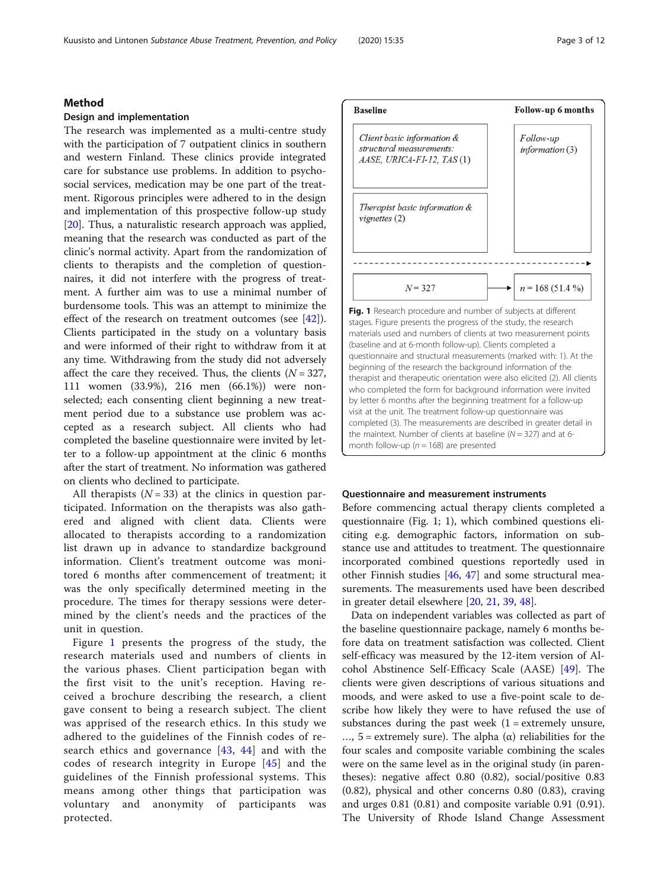#### <span id="page-2-0"></span>Method

#### Design and implementation

The research was implemented as a multi-centre study with the participation of 7 outpatient clinics in southern and western Finland. These clinics provide integrated care for substance use problems. In addition to psychosocial services, medication may be one part of the treatment. Rigorous principles were adhered to in the design and implementation of this prospective follow-up study [[20\]](#page-10-0). Thus, a naturalistic research approach was applied, meaning that the research was conducted as part of the clinic's normal activity. Apart from the randomization of clients to therapists and the completion of questionnaires, it did not interfere with the progress of treatment. A further aim was to use a minimal number of burdensome tools. This was an attempt to minimize the effect of the research on treatment outcomes (see [\[42](#page-10-0)]). Clients participated in the study on a voluntary basis and were informed of their right to withdraw from it at any time. Withdrawing from the study did not adversely affect the care they received. Thus, the clients  $(N = 327,$ 111 women (33.9%), 216 men (66.1%)) were nonselected; each consenting client beginning a new treatment period due to a substance use problem was accepted as a research subject. All clients who had completed the baseline questionnaire were invited by letter to a follow-up appointment at the clinic 6 months after the start of treatment. No information was gathered on clients who declined to participate.

All therapists  $(N = 33)$  at the clinics in question participated. Information on the therapists was also gathered and aligned with client data. Clients were allocated to therapists according to a randomization list drawn up in advance to standardize background information. Client's treatment outcome was monitored 6 months after commencement of treatment; it was the only specifically determined meeting in the procedure. The times for therapy sessions were determined by the client's needs and the practices of the unit in question.

Figure 1 presents the progress of the study, the research materials used and numbers of clients in the various phases. Client participation began with the first visit to the unit's reception. Having received a brochure describing the research, a client gave consent to being a research subject. The client was apprised of the research ethics. In this study we adhered to the guidelines of the Finnish codes of research ethics and governance [[43](#page-10-0), [44\]](#page-10-0) and with the codes of research integrity in Europe [[45](#page-10-0)] and the guidelines of the Finnish professional systems. This means among other things that participation was voluntary and anonymity of participants was protected.



#### Questionnaire and measurement instruments

Before commencing actual therapy clients completed a questionnaire (Fig. 1; 1), which combined questions eliciting e.g. demographic factors, information on substance use and attitudes to treatment. The questionnaire incorporated combined questions reportedly used in other Finnish studies [[46,](#page-10-0) [47](#page-10-0)] and some structural measurements. The measurements used have been described in greater detail elsewhere [\[20,](#page-10-0) [21,](#page-10-0) [39,](#page-10-0) [48\]](#page-11-0).

Data on independent variables was collected as part of the baseline questionnaire package, namely 6 months before data on treatment satisfaction was collected. Client self-efficacy was measured by the 12-item version of Alcohol Abstinence Self-Efficacy Scale (AASE) [\[49](#page-11-0)]. The clients were given descriptions of various situations and moods, and were asked to use a five-point scale to describe how likely they were to have refused the use of substances during the past week  $(1 =$  extremely unsure, ...,  $5$  = extremely sure). The alpha (α) reliabilities for the four scales and composite variable combining the scales were on the same level as in the original study (in parentheses): negative affect 0.80 (0.82), social/positive 0.83 (0.82), physical and other concerns 0.80 (0.83), craving and urges 0.81 (0.81) and composite variable 0.91 (0.91). The University of Rhode Island Change Assessment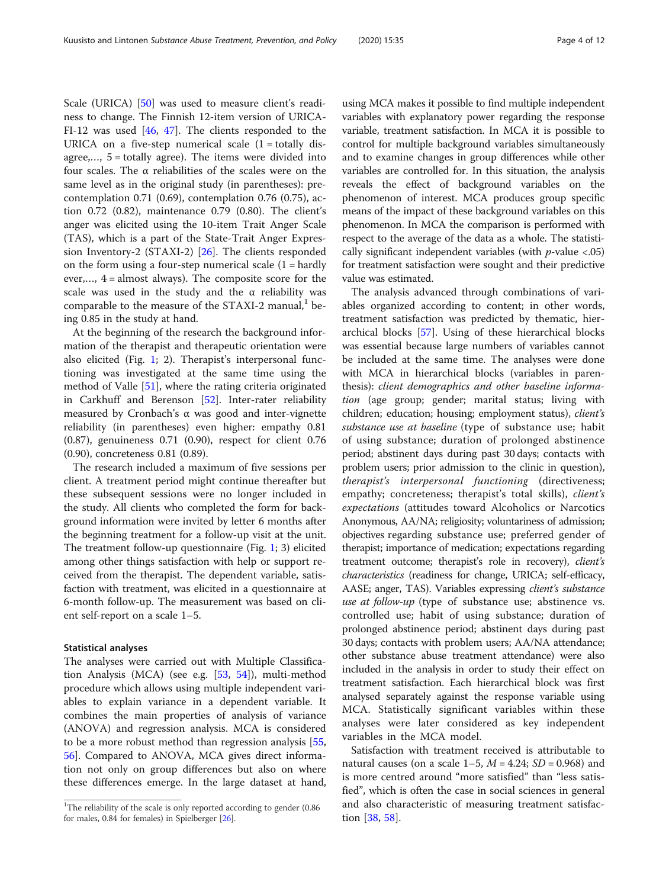Scale (URICA) [\[50\]](#page-11-0) was used to measure client's readiness to change. The Finnish 12-item version of URICA-FI-12 was used [\[46](#page-10-0), [47\]](#page-10-0). The clients responded to the URICA on a five-step numerical scale  $(1 = totally dis$ agree,...,  $5 =$  totally agree). The items were divided into four scales. The  $\alpha$  reliabilities of the scales were on the same level as in the original study (in parentheses): precontemplation 0.71 (0.69), contemplation 0.76 (0.75), action 0.72 (0.82), maintenance 0.79 (0.80). The client's anger was elicited using the 10-item Trait Anger Scale (TAS), which is a part of the State-Trait Anger Expression Inventory-2 (STAXI-2) [\[26](#page-10-0)]. The clients responded on the form using a four-step numerical scale  $(1 = \text{hardly})$ ever,…, 4 = almost always). The composite score for the scale was used in the study and the  $\alpha$  reliability was comparable to the measure of the STAXI-2 manual, $<sup>1</sup>$  be-</sup> ing 0.85 in the study at hand.

At the beginning of the research the background information of the therapist and therapeutic orientation were also elicited (Fig. [1;](#page-2-0) 2). Therapist's interpersonal functioning was investigated at the same time using the method of Valle [[51\]](#page-11-0), where the rating criteria originated in Carkhuff and Berenson [\[52\]](#page-11-0). Inter-rater reliability measured by Cronbach's α was good and inter-vignette reliability (in parentheses) even higher: empathy 0.81 (0.87), genuineness 0.71 (0.90), respect for client 0.76 (0.90), concreteness 0.81 (0.89).

The research included a maximum of five sessions per client. A treatment period might continue thereafter but these subsequent sessions were no longer included in the study. All clients who completed the form for background information were invited by letter 6 months after the beginning treatment for a follow-up visit at the unit. The treatment follow-up questionnaire (Fig. [1](#page-2-0); 3) elicited among other things satisfaction with help or support received from the therapist. The dependent variable, satisfaction with treatment, was elicited in a questionnaire at 6-month follow-up. The measurement was based on client self-report on a scale 1–5.

#### Statistical analyses

The analyses were carried out with Multiple Classification Analysis (MCA) (see e.g. [\[53](#page-11-0), [54](#page-11-0)]), multi-method procedure which allows using multiple independent variables to explain variance in a dependent variable. It combines the main properties of analysis of variance (ANOVA) and regression analysis. MCA is considered to be a more robust method than regression analysis [[55](#page-11-0), [56\]](#page-11-0). Compared to ANOVA, MCA gives direct information not only on group differences but also on where these differences emerge. In the large dataset at hand,

using MCA makes it possible to find multiple independent variables with explanatory power regarding the response variable, treatment satisfaction. In MCA it is possible to control for multiple background variables simultaneously and to examine changes in group differences while other variables are controlled for. In this situation, the analysis reveals the effect of background variables on the phenomenon of interest. MCA produces group specific means of the impact of these background variables on this phenomenon. In MCA the comparison is performed with respect to the average of the data as a whole. The statistically significant independent variables (with  $p$ -value <.05) for treatment satisfaction were sought and their predictive value was estimated.

The analysis advanced through combinations of variables organized according to content; in other words, treatment satisfaction was predicted by thematic, hierarchical blocks [[57](#page-11-0)]. Using of these hierarchical blocks was essential because large numbers of variables cannot be included at the same time. The analyses were done with MCA in hierarchical blocks (variables in parenthesis): client demographics and other baseline information (age group; gender; marital status; living with children; education; housing; employment status), client's substance use at baseline (type of substance use; habit of using substance; duration of prolonged abstinence period; abstinent days during past 30 days; contacts with problem users; prior admission to the clinic in question), therapist's interpersonal functioning (directiveness; empathy; concreteness; therapist's total skills), *client's* expectations (attitudes toward Alcoholics or Narcotics Anonymous, AA/NA; religiosity; voluntariness of admission; objectives regarding substance use; preferred gender of therapist; importance of medication; expectations regarding treatment outcome; therapist's role in recovery), client's characteristics (readiness for change, URICA; self-efficacy, AASE; anger, TAS). Variables expressing *client's substance* use at follow-up (type of substance use; abstinence vs. controlled use; habit of using substance; duration of prolonged abstinence period; abstinent days during past 30 days; contacts with problem users; AA/NA attendance; other substance abuse treatment attendance) were also included in the analysis in order to study their effect on treatment satisfaction. Each hierarchical block was first analysed separately against the response variable using MCA. Statistically significant variables within these analyses were later considered as key independent variables in the MCA model.

Satisfaction with treatment received is attributable to natural causes (on a scale  $1-5$ ,  $M = 4.24$ ;  $SD = 0.968$ ) and is more centred around "more satisfied" than "less satisfied", which is often the case in social sciences in general and also characteristic of measuring treatment satisfaction [\[38,](#page-10-0) [58\]](#page-11-0).

<sup>&</sup>lt;sup>1</sup>The reliability of the scale is only reported according to gender (0.86 for males, 0.84 for females) in Spielberger [[26\]](#page-10-0).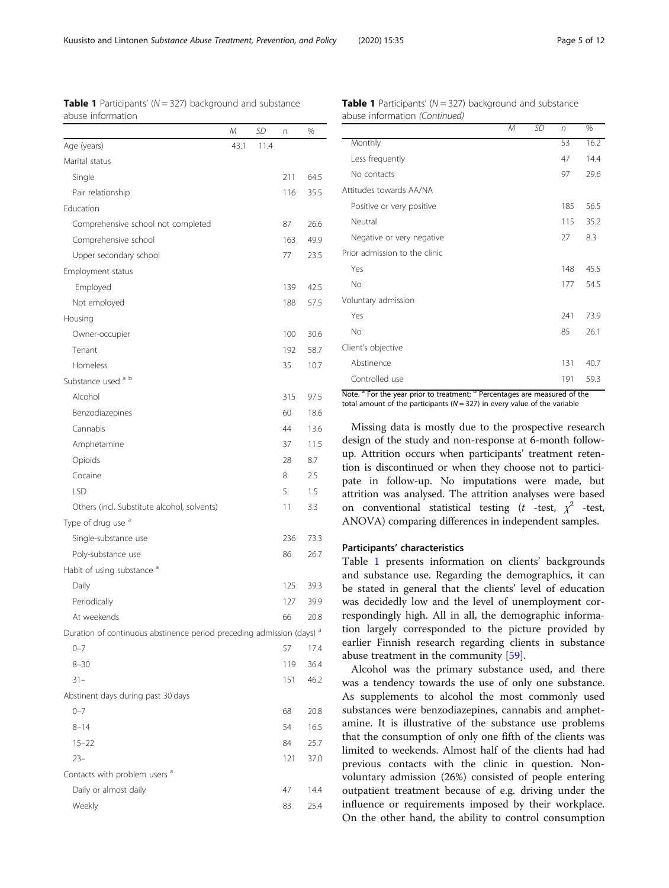Note.  $a^a$  For the year prior to treatment;  $b^b$  Percentages are measured of the total amount of the participants ( $N = 327$ ) in every value of the variable

Missing data is mostly due to the prospective research design of the study and non-response at 6-month followup. Attrition occurs when participants' treatment retention is discontinued or when they choose not to participate in follow-up. No imputations were made, but attrition was analysed. The attrition analyses were based on conventional statistical testing (t -test,  $\chi^2$  -test, ANOVA) comparing differences in independent samples.

#### Participants' characteristics

Table 1 presents information on clients' backgrounds and substance use. Regarding the demographics, it can be stated in general that the clients' level of education was decidedly low and the level of unemployment correspondingly high. All in all, the demographic information largely corresponded to the picture provided by earlier Finnish research regarding clients in substance abuse treatment in the community [\[59](#page-11-0)].

Alcohol was the primary substance used, and there was a tendency towards the use of only one substance. As supplements to alcohol the most commonly used substances were benzodiazepines, cannabis and amphetamine. It is illustrative of the substance use problems that the consumption of only one fifth of the clients was limited to weekends. Almost half of the clients had had previous contacts with the clinic in question. Nonvoluntary admission (26%) consisted of people entering outpatient treatment because of e.g. driving under the influence or requirements imposed by their workplace. On the other hand, the ability to control consumption

**Table 1** Participants' ( $N = 327$ ) background and substance abuse information

|                                                                       | М    | SD   | n   | %    |
|-----------------------------------------------------------------------|------|------|-----|------|
| Age (years)                                                           | 43.1 | 11.4 |     |      |
| Marital status                                                        |      |      |     |      |
| Single                                                                |      |      | 211 | 64.5 |
| Pair relationship                                                     |      |      | 116 | 35.5 |
| Education                                                             |      |      |     |      |
| Comprehensive school not completed                                    |      |      | 87  | 26.6 |
| Comprehensive school                                                  |      |      | 163 | 49.9 |
| Upper secondary school                                                |      |      | 77  | 23.5 |
| Employment status                                                     |      |      |     |      |
| Employed                                                              |      |      | 139 | 42.5 |
| Not employed                                                          |      |      | 188 | 57.5 |
| Housing                                                               |      |      |     |      |
| Owner-occupier                                                        |      |      | 100 | 30.6 |
| Tenant                                                                |      |      | 192 | 58.7 |
| Homeless                                                              |      |      | 35  | 10.7 |
| Substance used a b                                                    |      |      |     |      |
| Alcohol                                                               |      |      | 315 | 97.5 |
| Benzodiazepines                                                       |      |      | 60  | 18.6 |
| Cannabis                                                              |      |      | 44  | 13.6 |
| Amphetamine                                                           |      |      | 37  | 11.5 |
| Opioids                                                               |      |      | 28  | 8.7  |
| Cocaine                                                               |      |      | 8   | 2.5  |
| <b>LSD</b>                                                            |      |      | 5   | 1.5  |
| Others (incl. Substitute alcohol, solvents)                           |      |      | 11  | 3.3  |
| Type of drug use <sup>a</sup>                                         |      |      |     |      |
| Single-substance use                                                  |      |      | 236 | 73.3 |
| Poly-substance use                                                    |      |      | 86  | 26.7 |
| Habit of using substance a                                            |      |      |     |      |
| Daily                                                                 |      |      | 125 | 39.3 |
| Periodically                                                          |      |      | 127 | 39.9 |
| At weekends                                                           |      |      | 66  | 20.8 |
| Duration of continuous abstinence period preceding admission (days) a |      |      |     |      |
| $0 - 7$                                                               |      |      | 57  | 17.4 |
| $8 - 30$                                                              |      |      | 119 | 36.4 |
| $31 -$                                                                |      |      | 151 | 46.2 |
| Abstinent days during past 30 days                                    |      |      |     |      |
| $0 - 7$                                                               |      |      | 68  | 20.8 |
| $8 - 14$                                                              |      |      | 54  | 16.5 |
| $15 - 22$                                                             |      |      | 84  | 25.7 |
| $23 -$                                                                |      |      | 121 | 37.0 |
| Contacts with problem users <sup>a</sup>                              |      |      |     |      |
| Daily or almost daily                                                 |      |      | 47  | 14.4 |
| Weekly                                                                |      |      | 83  | 25.4 |
|                                                                       |      |      |     |      |

| Monthly                       | 53  | 16.2 |
|-------------------------------|-----|------|
| Less frequently               | 47  | 14.4 |
| No contacts                   | 97  | 29.6 |
| Attitudes towards AA/NA       |     |      |
| Positive or very positive     | 185 | 56.5 |
| Neutral                       | 115 | 35.2 |
| Negative or very negative     | 27  | 8.3  |
| Prior admission to the clinic |     |      |
| Yes                           | 148 | 45.5 |
| No                            | 177 | 54.5 |
| Voluntary admission           |     |      |
| Yes                           | 241 | 73.9 |
| No                            | 85  | 26.1 |
| Client's objective            |     |      |
| Abstinence                    | 131 | 40.7 |
| Controlled use                | 191 | 59.3 |

**Table 1** Participants' ( $N = 327$ ) background and substance abuse information (Continued)

 $M$  SD  $n$  %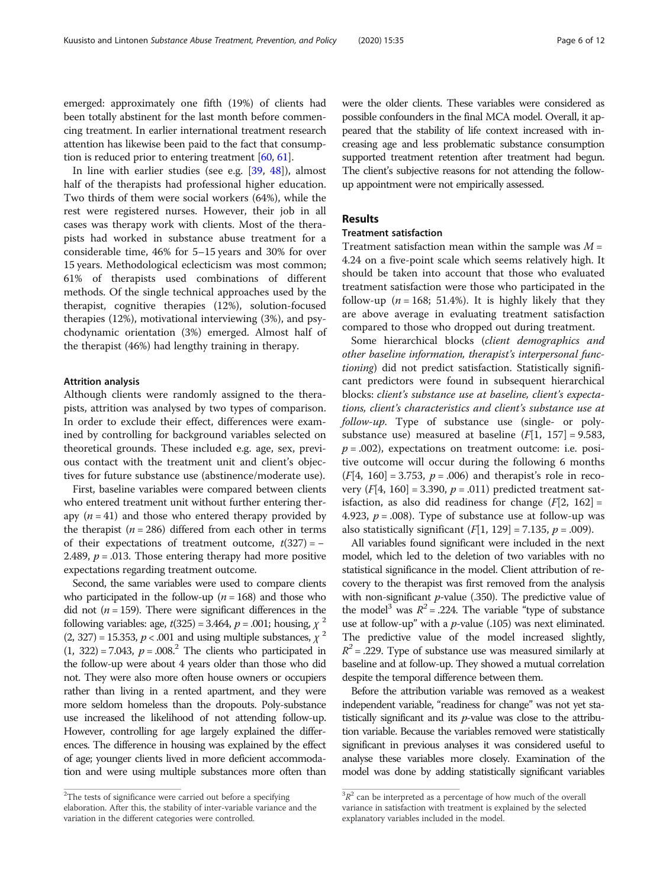emerged: approximately one fifth (19%) of clients had been totally abstinent for the last month before commencing treatment. In earlier international treatment research attention has likewise been paid to the fact that consumption is reduced prior to entering treatment [\[60](#page-11-0), [61](#page-11-0)].

In line with earlier studies (see e.g. [\[39,](#page-10-0) [48](#page-11-0)]), almost half of the therapists had professional higher education. Two thirds of them were social workers (64%), while the rest were registered nurses. However, their job in all cases was therapy work with clients. Most of the therapists had worked in substance abuse treatment for a considerable time, 46% for 5–15 years and 30% for over 15 years. Methodological eclecticism was most common; 61% of therapists used combinations of different methods. Of the single technical approaches used by the therapist, cognitive therapies (12%), solution-focused therapies (12%), motivational interviewing (3%), and psychodynamic orientation (3%) emerged. Almost half of the therapist (46%) had lengthy training in therapy.

#### Attrition analysis

Although clients were randomly assigned to the therapists, attrition was analysed by two types of comparison. In order to exclude their effect, differences were examined by controlling for background variables selected on theoretical grounds. These included e.g. age, sex, previous contact with the treatment unit and client's objectives for future substance use (abstinence/moderate use).

First, baseline variables were compared between clients who entered treatment unit without further entering therapy  $(n = 41)$  and those who entered therapy provided by the therapist ( $n = 286$ ) differed from each other in terms of their expectations of treatment outcome,  $t(327) = -$ 2.489,  $p = .013$ . Those entering therapy had more positive expectations regarding treatment outcome.

Second, the same variables were used to compare clients who participated in the follow-up ( $n = 168$ ) and those who did not ( $n = 159$ ). There were significant differences in the following variables: age,  $t(325) = 3.464$ ,  $p = .001$ ; housing,  $\chi^2$ (2, 327) = 15.353,  $p < .001$  and using multiple substances,  $\chi^2$  $(1, 322) = 7.043$ ,  $p = .008<sup>2</sup>$ . The clients who participated in the follow-up were about 4 years older than those who did not. They were also more often house owners or occupiers rather than living in a rented apartment, and they were more seldom homeless than the dropouts. Poly-substance use increased the likelihood of not attending follow-up. However, controlling for age largely explained the differences. The difference in housing was explained by the effect of age; younger clients lived in more deficient accommodation and were using multiple substances more often than were the older clients. These variables were considered as possible confounders in the final MCA model. Overall, it appeared that the stability of life context increased with increasing age and less problematic substance consumption supported treatment retention after treatment had begun. The client's subjective reasons for not attending the followup appointment were not empirically assessed.

#### **Results**

#### Treatment satisfaction

Treatment satisfaction mean within the sample was  $M =$ 4.24 on a five-point scale which seems relatively high. It should be taken into account that those who evaluated treatment satisfaction were those who participated in the follow-up ( $n = 168$ ; 51.4%). It is highly likely that they are above average in evaluating treatment satisfaction compared to those who dropped out during treatment.

Some hierarchical blocks (client demographics and other baseline information, therapist's interpersonal functioning) did not predict satisfaction. Statistically significant predictors were found in subsequent hierarchical blocks: client's substance use at baseline, client's expectations, client's characteristics and client's substance use at follow-up. Type of substance use (single- or polysubstance use) measured at baseline  $(F[1, 157] = 9.583,$  $p = .002$ ), expectations on treatment outcome: i.e. positive outcome will occur during the following 6 months  $(F[4, 160] = 3.753, p = .006)$  and therapist's role in recovery ( $F[4, 160] = 3.390$ ,  $p = .011$ ) predicted treatment satisfaction, as also did readiness for change  $(F[2, 162] =$ 4.923,  $p = .008$ ). Type of substance use at follow-up was also statistically significant  $(F[1, 129] = 7.135, p = .009)$ .

All variables found significant were included in the next model, which led to the deletion of two variables with no statistical significance in the model. Client attribution of recovery to the therapist was first removed from the analysis with non-significant  $p$ -value (.350). The predictive value of the model<sup>3</sup> was  $R^2 = .224$ . The variable "type of substance" use at follow-up" with a  $p$ -value (.105) was next eliminated. The predictive value of the model increased slightly,  $R^2$  = .229. Type of substance use was measured similarly at baseline and at follow-up. They showed a mutual correlation despite the temporal difference between them.

Before the attribution variable was removed as a weakest independent variable, "readiness for change" was not yet statistically significant and its  $p$ -value was close to the attribution variable. Because the variables removed were statistically significant in previous analyses it was considered useful to analyse these variables more closely. Examination of the model was done by adding statistically significant variables

 $2$ The tests of significance were carried out before a specifying elaboration. After this, the stability of inter-variable variance and the variation in the different categories were controlled.

 $3R^2$  can be interpreted as a percentage of how much of the overall variance in satisfaction with treatment is explained by the selected explanatory variables included in the model.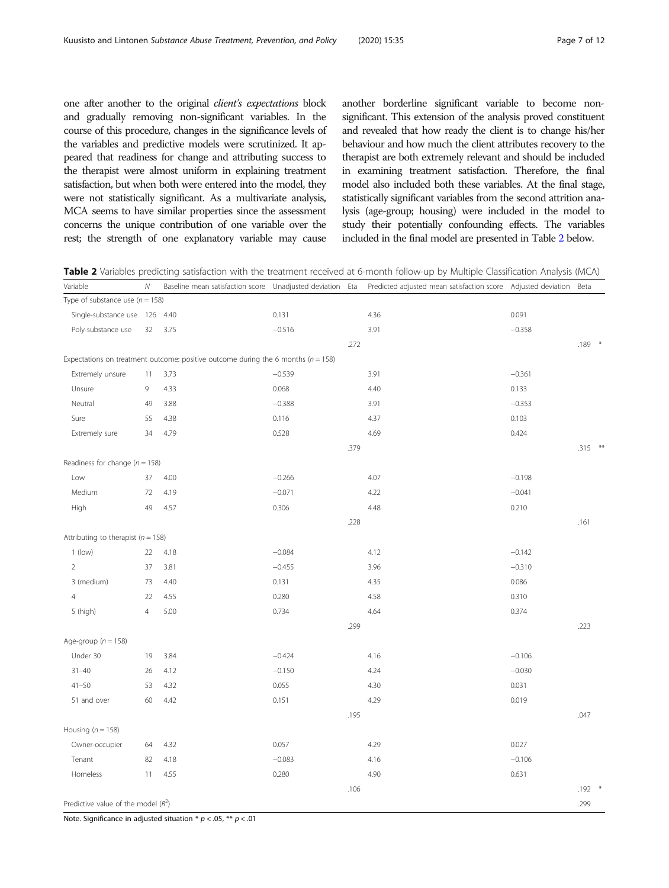<span id="page-6-0"></span>one after another to the original client's expectations block and gradually removing non-significant variables. In the course of this procedure, changes in the significance levels of the variables and predictive models were scrutinized. It appeared that readiness for change and attributing success to the therapist were almost uniform in explaining treatment satisfaction, but when both were entered into the model, they were not statistically significant. As a multivariate analysis, MCA seems to have similar properties since the assessment concerns the unique contribution of one variable over the rest; the strength of one explanatory variable may cause another borderline significant variable to become nonsignificant. This extension of the analysis proved constituent and revealed that how ready the client is to change his/her behaviour and how much the client attributes recovery to the therapist are both extremely relevant and should be included in examining treatment satisfaction. Therefore, the final model also included both these variables. At the final stage, statistically significant variables from the second attrition analysis (age-group; housing) were included in the model to study their potentially confounding effects. The variables included in the final model are presented in Table 2 below.

Table 2 Variables predicting satisfaction with the treatment received at 6-month follow-up by Multiple Classification Analysis (MCA)

| Variable                               | Ν              | Baseline mean satisfaction score Unadjusted deviation Eta                             |          |      | Predicted adjusted mean satisfaction score Adjusted deviation Beta |          |           |  |
|----------------------------------------|----------------|---------------------------------------------------------------------------------------|----------|------|--------------------------------------------------------------------|----------|-----------|--|
| Type of substance use $(n = 158)$      |                |                                                                                       |          |      |                                                                    |          |           |  |
| Single-substance use 126 4.40          |                |                                                                                       | 0.131    |      | 4.36                                                               | 0.091    |           |  |
| Poly-substance use                     | 32             | 3.75                                                                                  | $-0.516$ |      | 3.91                                                               | $-0.358$ |           |  |
|                                        |                |                                                                                       |          | .272 |                                                                    |          | $.189$ *  |  |
|                                        |                | Expectations on treatment outcome: positive outcome during the 6 months ( $n = 158$ ) |          |      |                                                                    |          |           |  |
| Extremely unsure                       | 11             | 3.73                                                                                  | $-0.539$ |      | 3.91                                                               | $-0.361$ |           |  |
| Unsure                                 | 9              | 4.33                                                                                  | 0.068    |      | 4.40                                                               | 0.133    |           |  |
| Neutral                                | 49             | 3.88                                                                                  | $-0.388$ |      | 3.91                                                               | $-0.353$ |           |  |
| Sure                                   | 55             | 4.38                                                                                  | 0.116    |      | 4.37                                                               | 0.103    |           |  |
| Extremely sure                         | 34             | 4.79                                                                                  | 0.528    |      | 4.69                                                               | 0.424    |           |  |
|                                        |                |                                                                                       |          | .379 |                                                                    |          | $.315***$ |  |
| Readiness for change ( $n = 158$ )     |                |                                                                                       |          |      |                                                                    |          |           |  |
| Low                                    | 37             | 4.00                                                                                  | $-0.266$ |      | 4.07                                                               | $-0.198$ |           |  |
| Medium                                 | 72             | 4.19                                                                                  | $-0.071$ |      | 4.22                                                               | $-0.041$ |           |  |
| High                                   | 49             | 4.57                                                                                  | 0.306    |      | 4.48                                                               | 0.210    |           |  |
|                                        |                |                                                                                       |          | .228 |                                                                    |          | .161      |  |
| Attributing to therapist ( $n = 158$ ) |                |                                                                                       |          |      |                                                                    |          |           |  |
| $1$ (low)                              | 22             | 4.18                                                                                  | $-0.084$ |      | 4.12                                                               | $-0.142$ |           |  |
| $\overline{2}$                         | 37             | 3.81                                                                                  | $-0.455$ |      | 3.96                                                               | $-0.310$ |           |  |
| 3 (medium)                             | 73             | 4.40                                                                                  | 0.131    |      | 4.35                                                               | 0.086    |           |  |
| $\overline{4}$                         | 22             | 4.55                                                                                  | 0.280    |      | 4.58                                                               | 0.310    |           |  |
| 5 (high)                               | $\overline{4}$ | 5.00                                                                                  | 0.734    |      | 4.64                                                               | 0.374    |           |  |
|                                        |                |                                                                                       |          | .299 |                                                                    |          | .223      |  |
| Age-group ( $n = 158$ )                |                |                                                                                       |          |      |                                                                    |          |           |  |
| Under 30                               | 19             | 3.84                                                                                  | $-0.424$ |      | 4.16                                                               | $-0.106$ |           |  |
| $31 - 40$                              | 26             | 4.12                                                                                  | $-0.150$ |      | 4.24                                                               | $-0.030$ |           |  |
| $41 - 50$                              | 53             | 4.32                                                                                  | 0.055    |      | 4.30                                                               | 0.031    |           |  |
| 51 and over                            | 60             | 4.42                                                                                  | 0.151    |      | 4.29                                                               | 0.019    |           |  |
|                                        |                |                                                                                       |          | .195 |                                                                    |          | .047      |  |
| Housing $(n = 158)$                    |                |                                                                                       |          |      |                                                                    |          |           |  |
| Owner-occupier                         | 64             | 4.32                                                                                  | 0.057    |      | 4.29                                                               | 0.027    |           |  |
| Tenant                                 | 82             | 4.18                                                                                  | $-0.083$ |      | 4.16                                                               | $-0.106$ |           |  |
| Homeless                               | 11             | 4.55                                                                                  | 0.280    |      | 4.90                                                               | 0.631    |           |  |
|                                        |                |                                                                                       |          | .106 |                                                                    |          | $.192$ *  |  |
| Predictive value of the model $(R^2)$  |                |                                                                                       |          |      |                                                                    |          | .299      |  |

Note. Significance in adjusted situation  $* p < .05$ ,  $** p < .01$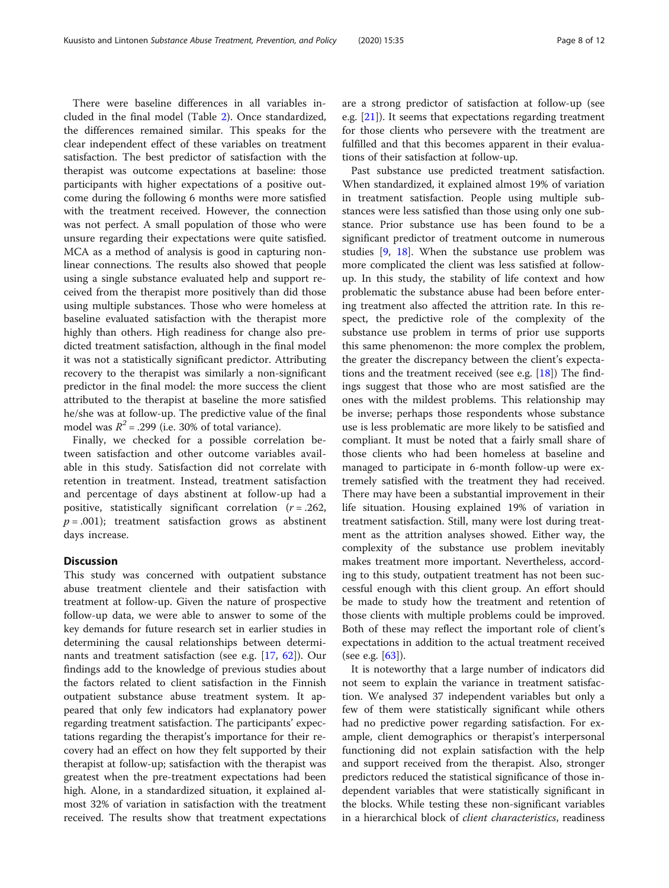There were baseline differences in all variables included in the final model (Table [2\)](#page-6-0). Once standardized, the differences remained similar. This speaks for the clear independent effect of these variables on treatment satisfaction. The best predictor of satisfaction with the therapist was outcome expectations at baseline: those participants with higher expectations of a positive outcome during the following 6 months were more satisfied with the treatment received. However, the connection was not perfect. A small population of those who were unsure regarding their expectations were quite satisfied. MCA as a method of analysis is good in capturing nonlinear connections. The results also showed that people using a single substance evaluated help and support received from the therapist more positively than did those using multiple substances. Those who were homeless at baseline evaluated satisfaction with the therapist more highly than others. High readiness for change also predicted treatment satisfaction, although in the final model it was not a statistically significant predictor. Attributing recovery to the therapist was similarly a non-significant predictor in the final model: the more success the client attributed to the therapist at baseline the more satisfied he/she was at follow-up. The predictive value of the final model was  $R^2$  = .299 (i.e. 30% of total variance).

Finally, we checked for a possible correlation between satisfaction and other outcome variables available in this study. Satisfaction did not correlate with retention in treatment. Instead, treatment satisfaction and percentage of days abstinent at follow-up had a positive, statistically significant correlation ( $r = .262$ ,  $p = .001$ ); treatment satisfaction grows as abstinent days increase.

#### **Discussion**

This study was concerned with outpatient substance abuse treatment clientele and their satisfaction with treatment at follow-up. Given the nature of prospective follow-up data, we were able to answer to some of the key demands for future research set in earlier studies in determining the causal relationships between determinants and treatment satisfaction (see e.g. [[17](#page-10-0), [62](#page-11-0)]). Our findings add to the knowledge of previous studies about the factors related to client satisfaction in the Finnish outpatient substance abuse treatment system. It appeared that only few indicators had explanatory power regarding treatment satisfaction. The participants' expectations regarding the therapist's importance for their recovery had an effect on how they felt supported by their therapist at follow-up; satisfaction with the therapist was greatest when the pre-treatment expectations had been high. Alone, in a standardized situation, it explained almost 32% of variation in satisfaction with the treatment received. The results show that treatment expectations are a strong predictor of satisfaction at follow-up (see e.g. [[21](#page-10-0)]). It seems that expectations regarding treatment for those clients who persevere with the treatment are fulfilled and that this becomes apparent in their evaluations of their satisfaction at follow-up.

Past substance use predicted treatment satisfaction. When standardized, it explained almost 19% of variation in treatment satisfaction. People using multiple substances were less satisfied than those using only one substance. Prior substance use has been found to be a significant predictor of treatment outcome in numerous studies [\[9,](#page-10-0) [18\]](#page-10-0). When the substance use problem was more complicated the client was less satisfied at followup. In this study, the stability of life context and how problematic the substance abuse had been before entering treatment also affected the attrition rate. In this respect, the predictive role of the complexity of the substance use problem in terms of prior use supports this same phenomenon: the more complex the problem, the greater the discrepancy between the client's expectations and the treatment received (see e.g. [\[18](#page-10-0)]) The findings suggest that those who are most satisfied are the ones with the mildest problems. This relationship may be inverse; perhaps those respondents whose substance use is less problematic are more likely to be satisfied and compliant. It must be noted that a fairly small share of those clients who had been homeless at baseline and managed to participate in 6-month follow-up were extremely satisfied with the treatment they had received. There may have been a substantial improvement in their life situation. Housing explained 19% of variation in treatment satisfaction. Still, many were lost during treatment as the attrition analyses showed. Either way, the complexity of the substance use problem inevitably makes treatment more important. Nevertheless, according to this study, outpatient treatment has not been successful enough with this client group. An effort should be made to study how the treatment and retention of those clients with multiple problems could be improved. Both of these may reflect the important role of client's expectations in addition to the actual treatment received (see e.g.  $[63]$  $[63]$ ).

It is noteworthy that a large number of indicators did not seem to explain the variance in treatment satisfaction. We analysed 37 independent variables but only a few of them were statistically significant while others had no predictive power regarding satisfaction. For example, client demographics or therapist's interpersonal functioning did not explain satisfaction with the help and support received from the therapist. Also, stronger predictors reduced the statistical significance of those independent variables that were statistically significant in the blocks. While testing these non-significant variables in a hierarchical block of client characteristics, readiness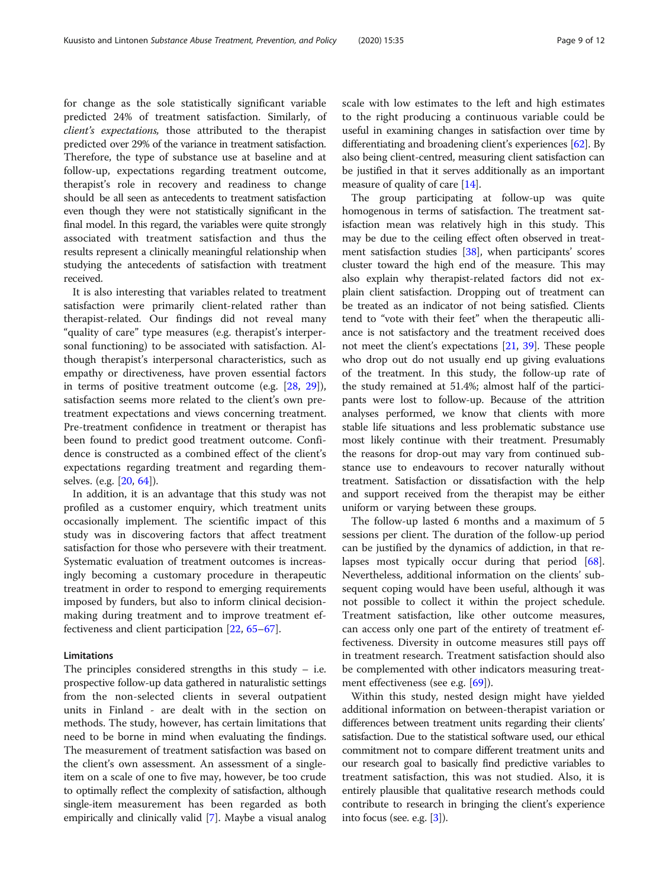for change as the sole statistically significant variable predicted 24% of treatment satisfaction. Similarly, of client's expectations, those attributed to the therapist predicted over 29% of the variance in treatment satisfaction. Therefore, the type of substance use at baseline and at follow-up, expectations regarding treatment outcome, therapist's role in recovery and readiness to change should be all seen as antecedents to treatment satisfaction even though they were not statistically significant in the final model. In this regard, the variables were quite strongly associated with treatment satisfaction and thus the results represent a clinically meaningful relationship when studying the antecedents of satisfaction with treatment received.

It is also interesting that variables related to treatment satisfaction were primarily client-related rather than therapist-related. Our findings did not reveal many "quality of care" type measures (e.g. therapist's interpersonal functioning) to be associated with satisfaction. Although therapist's interpersonal characteristics, such as empathy or directiveness, have proven essential factors in terms of positive treatment outcome (e.g. [[28](#page-10-0), [29](#page-10-0)]), satisfaction seems more related to the client's own pretreatment expectations and views concerning treatment. Pre-treatment confidence in treatment or therapist has been found to predict good treatment outcome. Confidence is constructed as a combined effect of the client's expectations regarding treatment and regarding themselves. (e.g. [[20,](#page-10-0) [64\]](#page-11-0)).

In addition, it is an advantage that this study was not profiled as a customer enquiry, which treatment units occasionally implement. The scientific impact of this study was in discovering factors that affect treatment satisfaction for those who persevere with their treatment. Systematic evaluation of treatment outcomes is increasingly becoming a customary procedure in therapeutic treatment in order to respond to emerging requirements imposed by funders, but also to inform clinical decisionmaking during treatment and to improve treatment effectiveness and client participation [[22](#page-10-0), [65](#page-11-0)–[67](#page-11-0)].

#### Limitations

The principles considered strengths in this study – i.e. prospective follow-up data gathered in naturalistic settings from the non-selected clients in several outpatient units in Finland - are dealt with in the section on methods. The study, however, has certain limitations that need to be borne in mind when evaluating the findings. The measurement of treatment satisfaction was based on the client's own assessment. An assessment of a singleitem on a scale of one to five may, however, be too crude to optimally reflect the complexity of satisfaction, although single-item measurement has been regarded as both empirically and clinically valid [\[7](#page-10-0)]. Maybe a visual analog scale with low estimates to the left and high estimates to the right producing a continuous variable could be useful in examining changes in satisfaction over time by differentiating and broadening client's experiences [\[62\]](#page-11-0). By also being client-centred, measuring client satisfaction can be justified in that it serves additionally as an important measure of quality of care [[14](#page-10-0)].

The group participating at follow-up was quite homogenous in terms of satisfaction. The treatment satisfaction mean was relatively high in this study. This may be due to the ceiling effect often observed in treatment satisfaction studies [[38](#page-10-0)], when participants' scores cluster toward the high end of the measure. This may also explain why therapist-related factors did not explain client satisfaction. Dropping out of treatment can be treated as an indicator of not being satisfied. Clients tend to "vote with their feet" when the therapeutic alliance is not satisfactory and the treatment received does not meet the client's expectations [\[21,](#page-10-0) [39](#page-10-0)]. These people who drop out do not usually end up giving evaluations of the treatment. In this study, the follow-up rate of the study remained at 51.4%; almost half of the participants were lost to follow-up. Because of the attrition analyses performed, we know that clients with more stable life situations and less problematic substance use most likely continue with their treatment. Presumably the reasons for drop-out may vary from continued substance use to endeavours to recover naturally without treatment. Satisfaction or dissatisfaction with the help and support received from the therapist may be either uniform or varying between these groups.

The follow-up lasted 6 months and a maximum of 5 sessions per client. The duration of the follow-up period can be justified by the dynamics of addiction, in that re-lapses most typically occur during that period [\[68](#page-11-0)]. Nevertheless, additional information on the clients' subsequent coping would have been useful, although it was not possible to collect it within the project schedule. Treatment satisfaction, like other outcome measures, can access only one part of the entirety of treatment effectiveness. Diversity in outcome measures still pays off in treatment research. Treatment satisfaction should also be complemented with other indicators measuring treatment effectiveness (see e.g. [[69\]](#page-11-0)).

Within this study, nested design might have yielded additional information on between-therapist variation or differences between treatment units regarding their clients' satisfaction. Due to the statistical software used, our ethical commitment not to compare different treatment units and our research goal to basically find predictive variables to treatment satisfaction, this was not studied. Also, it is entirely plausible that qualitative research methods could contribute to research in bringing the client's experience into focus (see. e.g. [[3\]](#page-9-0)).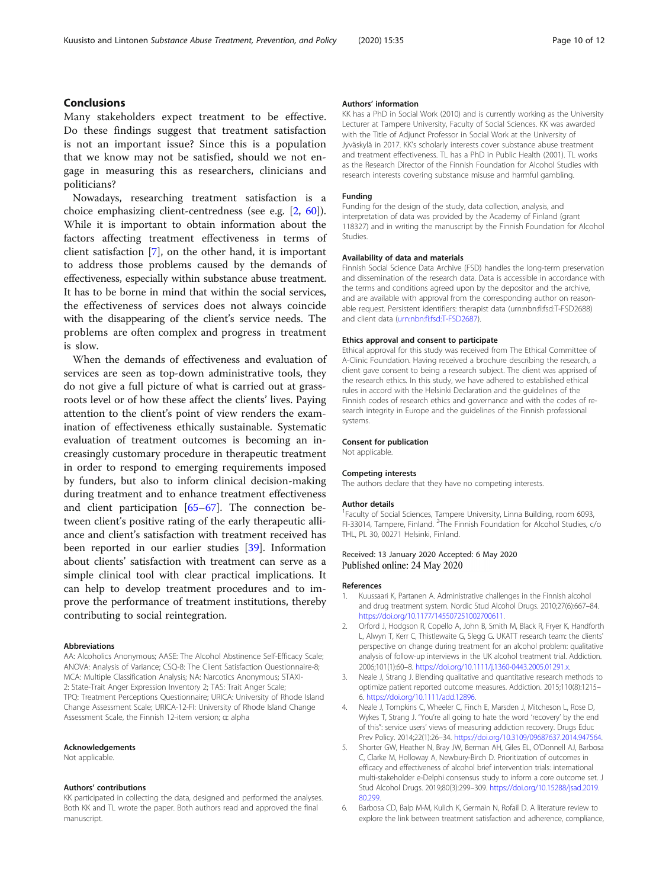#### <span id="page-9-0"></span>Conclusions

Many stakeholders expect treatment to be effective. Do these findings suggest that treatment satisfaction is not an important issue? Since this is a population that we know may not be satisfied, should we not engage in measuring this as researchers, clinicians and politicians?

Nowadays, researching treatment satisfaction is a choice emphasizing client-centredness (see e.g. [2, [60](#page-11-0)]). While it is important to obtain information about the factors affecting treatment effectiveness in terms of client satisfaction [\[7\]](#page-10-0), on the other hand, it is important to address those problems caused by the demands of effectiveness, especially within substance abuse treatment. It has to be borne in mind that within the social services, the effectiveness of services does not always coincide with the disappearing of the client's service needs. The problems are often complex and progress in treatment is slow.

When the demands of effectiveness and evaluation of services are seen as top-down administrative tools, they do not give a full picture of what is carried out at grassroots level or of how these affect the clients' lives. Paying attention to the client's point of view renders the examination of effectiveness ethically sustainable. Systematic evaluation of treatment outcomes is becoming an increasingly customary procedure in therapeutic treatment in order to respond to emerging requirements imposed by funders, but also to inform clinical decision-making during treatment and to enhance treatment effectiveness and client participation [\[65](#page-11-0)–[67\]](#page-11-0). The connection between client's positive rating of the early therapeutic alliance and client's satisfaction with treatment received has been reported in our earlier studies [\[39\]](#page-10-0). Information about clients' satisfaction with treatment can serve as a simple clinical tool with clear practical implications. It can help to develop treatment procedures and to improve the performance of treatment institutions, thereby contributing to social reintegration.

#### Abbreviations

AA: Alcoholics Anonymous; AASE: The Alcohol Abstinence Self-Efficacy Scale; ANOVA: Analysis of Variance; CSQ-8: The Client Satisfaction Questionnaire-8; MCA: Multiple Classification Analysis; NA: Narcotics Anonymous; STAXI-2: State-Trait Anger Expression Inventory 2; TAS: Trait Anger Scale; TPQ: Treatment Perceptions Questionnaire; URICA: University of Rhode Island Change Assessment Scale; URICA-12-FI: University of Rhode Island Change Assessment Scale, the Finnish 12-item version; α: alpha

#### Acknowledgements

Not applicable.

#### Authors' contributions

KK participated in collecting the data, designed and performed the analyses. Both KK and TL wrote the paper. Both authors read and approved the final manuscript.

#### Authors' information

KK has a PhD in Social Work (2010) and is currently working as the University Lecturer at Tampere University, Faculty of Social Sciences. KK was awarded with the Title of Adjunct Professor in Social Work at the University of Jyväskylä in 2017. KK's scholarly interests cover substance abuse treatment and treatment effectiveness. TL has a PhD in Public Health (2001). TL works as the Research Director of the Finnish Foundation for Alcohol Studies with research interests covering substance misuse and harmful gambling.

#### Funding

Funding for the design of the study, data collection, analysis, and interpretation of data was provided by the Academy of Finland (grant 118327) and in writing the manuscript by the Finnish Foundation for Alcohol Studies.

#### Availability of data and materials

Finnish Social Science Data Archive (FSD) handles the long-term preservation and dissemination of the research data. Data is accessible in accordance with the terms and conditions agreed upon by the depositor and the archive, and are available with approval from the corresponding author on reasonable request. Persistent identifiers: therapist data (urn:nbn:fi:fsd:T-FSD2688) and client data [\(urn:nbn:fi:fsd:T-FSD2687](http://urn.fi/urn:nbn:fi:fsd:T-FSD2687)).

#### Ethics approval and consent to participate

Ethical approval for this study was received from The Ethical Committee of A-Clinic Foundation. Having received a brochure describing the research, a client gave consent to being a research subject. The client was apprised of the research ethics. In this study, we have adhered to established ethical rules in accord with the Helsinki Declaration and the guidelines of the Finnish codes of research ethics and governance and with the codes of research integrity in Europe and the guidelines of the Finnish professional systems.

#### Consent for publication

Not applicable.

#### Competing interests

The authors declare that they have no competing interests.

#### Author details

<sup>1</sup> Faculty of Social Sciences, Tampere University, Linna Building, room 6093, FI-33014, Tampere, Finland. <sup>2</sup>The Finnish Foundation for Alcohol Studies, c/o THL, PL 30, 00271 Helsinki, Finland.

#### Received: 13 January 2020 Accepted: 6 May 2020 Published online: 24 May 2020

#### References

- 1. Kuussaari K, Partanen A. Administrative challenges in the Finnish alcohol and drug treatment system. Nordic Stud Alcohol Drugs. 2010;27(6):667–84. <https://doi.org/10.1177/145507251002700611>.
- 2. Orford J, Hodgson R, Copello A, John B, Smith M, Black R, Fryer K, Handforth L, Alwyn T, Kerr C, Thistlewaite G, Slegg G. UKATT research team: the clients' perspective on change during treatment for an alcohol problem: qualitative analysis of follow-up interviews in the UK alcohol treatment trial. Addiction. 2006;101(1):60–8. [https://doi.org/10.1111/j.1360-0443.2005.01291.x.](https://doi.org/10.1111/j.1360-0443.2005.01291.x)
- 3. Neale J, Strang J. Blending qualitative and quantitative research methods to optimize patient reported outcome measures. Addiction. 2015;110(8):1215– 6. [https://doi.org/10.1111/add.12896.](https://doi.org/10.1111/add.12896)
- 4. Neale J, Tompkins C, Wheeler C, Finch E, Marsden J, Mitcheson L, Rose D, Wykes T, Strang J. "You're all going to hate the word 'recovery' by the end of this": service users' views of measuring addiction recovery. Drugs Educ Prev Policy. 2014;22(1):26–34. [https://doi.org/10.3109/09687637.2014.947564.](https://doi.org/10.3109/09687637.2014.947564)
- 5. Shorter GW, Heather N, Bray JW, Berman AH, Giles EL, O'Donnell AJ, Barbosa C, Clarke M, Holloway A, Newbury-Birch D. Prioritization of outcomes in efficacy and effectiveness of alcohol brief intervention trials: international multi-stakeholder e-Delphi consensus study to inform a core outcome set. J Stud Alcohol Drugs. 2019;80(3):299–309. [https://doi.org/10.15288/jsad.2019.](https://doi.org/10.15288/jsad.2019.80.299) [80.299](https://doi.org/10.15288/jsad.2019.80.299).
- 6. Barbosa CD, Balp M-M, Kulich K, Germain N, Rofail D. A literature review to explore the link between treatment satisfaction and adherence, compliance,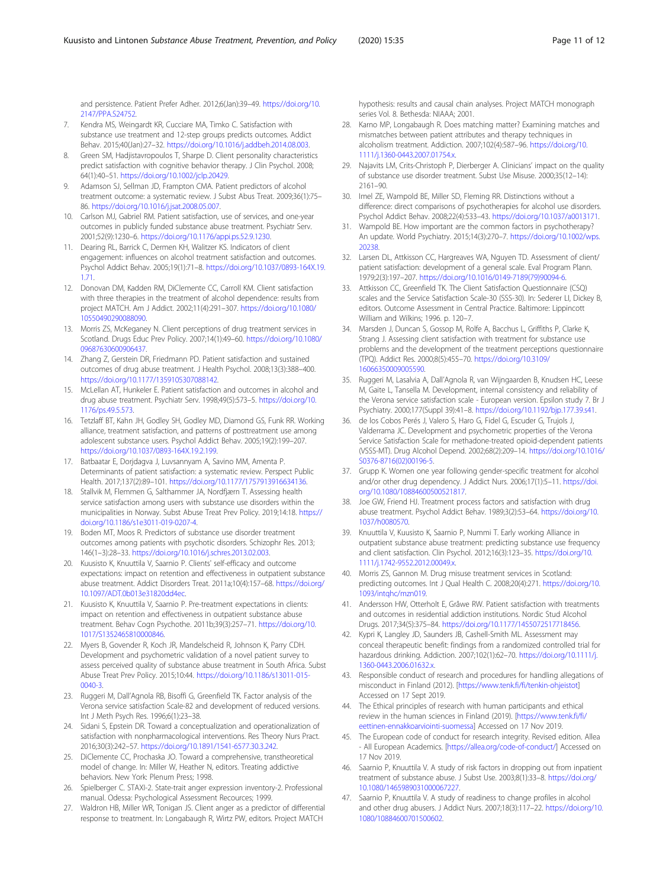<span id="page-10-0"></span>and persistence. Patient Prefer Adher. 2012;6(Jan):39–49. [https://doi.org/10.](https://doi.org/10.2147/PPA.S24752) [2147/PPA.S24752.](https://doi.org/10.2147/PPA.S24752)

- 7. Kendra MS, Weingardt KR, Cucciare MA, Timko C. Satisfaction with substance use treatment and 12-step groups predicts outcomes. Addict Behav. 2015;40(Jan):27–32. [https://doi.org/10.1016/j.addbeh.2014.08.003.](https://doi.org/10.1016/j.addbeh.2014.08.003)
- 8. Green SM, Hadjistavropoulos T, Sharpe D. Client personality characteristics predict satisfaction with cognitive behavior therapy. J Clin Psychol. 2008; 64(1):40–51. [https://doi.org/10.1002/jclp.20429.](https://doi.org/10.1002/jclp.20429)
- Adamson SJ, Sellman JD, Frampton CMA. Patient predictors of alcohol treatment outcome: a systematic review. J Subst Abus Treat. 2009;36(1):75– 86. <https://doi.org/10.1016/j.jsat.2008.05.007>.
- 10. Carlson MJ, Gabriel RM. Patient satisfaction, use of services, and one-year outcomes in publicly funded substance abuse treatment. Psychiatr Serv. 2001;52(9):1230–6. <https://doi.org/10.1176/appi.ps.52.9.1230>.
- 11. Dearing RL, Barrick C, Dermen KH, Walitzer KS. Indicators of client engagement: influences on alcohol treatment satisfaction and outcomes. Psychol Addict Behav. 2005;19(1):71–8. [https://doi.org/10.1037/0893-164X.19.](https://doi.org/10.1037/0893-164X.19.1.71) [1.71](https://doi.org/10.1037/0893-164X.19.1.71).
- 12. Donovan DM, Kadden RM, DiClemente CC, Carroll KM. Client satisfaction with three therapies in the treatment of alcohol dependence: results from project MATCH. Am J Addict. 2002;11(4):291–307. [https://doi.org/10.1080/](https://doi.org/10.1080/10550490290088090) [10550490290088090.](https://doi.org/10.1080/10550490290088090)
- 13. Morris ZS, McKeganey N. Client perceptions of drug treatment services in Scotland. Drugs Educ Prev Policy. 2007;14(1):49–60. [https://doi.org/10.1080/](https://doi.org/10.1080/09687630600906437) 09687630600906437
- 14. Zhang Z, Gerstein DR, Friedmann PD. Patient satisfaction and sustained outcomes of drug abuse treatment. J Health Psychol. 2008;13(3):388–400. <https://doi.org/10.1177/1359105307088142>.
- 15. McLellan AT, Hunkeler E. Patient satisfaction and outcomes in alcohol and drug abuse treatment. Psychiatr Serv. 1998;49(5):573–5. [https://doi.org/10.](https://doi.org/10.1176/ps.49.5.573) [1176/ps.49.5.573](https://doi.org/10.1176/ps.49.5.573).
- 16. Tetzlaff BT, Kahn JH, Godley SH, Godley MD, Diamond GS, Funk RR. Working alliance, treatment satisfaction, and patterns of posttreatment use among adolescent substance users. Psychol Addict Behav. 2005;19(2):199–207. [https://doi.org/10.1037/0893-164X.19.2.199.](https://doi.org/10.1037/0893-164X.19.2.199)
- 17. Batbaatar E, Dorjdagva J, Luvsannyam A, Savino MM, Amenta P. Determinants of patient satisfaction: a systematic review. Perspect Public Health. 2017;137(2):89–101. [https://doi.org/10.1177/1757913916634136.](https://doi.org/10.1177/1757913916634136)
- 18. Stallvik M, Flemmen G, Salthammer JA, Nordfjærn T. Assessing health service satisfaction among users with substance use disorders within the municipalities in Norway. Subst Abuse Treat Prev Policy. 2019;14:18. [https://](https://doi.org/10.1186/s1e3011-019-0207-4) [doi.org/10.1186/s1e3011-019-0207-4.](https://doi.org/10.1186/s1e3011-019-0207-4)
- 19. Boden MT, Moos R. Predictors of substance use disorder treatment outcomes among patients with psychotic disorders. Schizophr Res. 2013; 146(1–3):28–33. <https://doi.org/10.1016/j.schres.2013.02.003>.
- 20. Kuusisto K, Knuuttila V, Saarnio P. Clients' self-efficacy and outcome expectations: impact on retention and effectiveness in outpatient substance abuse treatment. Addict Disorders Treat. 2011a;10(4):157–68. [https://doi.org/](https://doi.org/10.1097/ADT.0b013e31820dd4ec) [10.1097/ADT.0b013e31820dd4ec.](https://doi.org/10.1097/ADT.0b013e31820dd4ec)
- 21. Kuusisto K, Knuuttila V, Saarnio P. Pre-treatment expectations in clients: impact on retention and effectiveness in outpatient substance abuse treatment. Behav Cogn Psychothe. 2011b;39(3):257–71. [https://doi.org/10.](https://doi.org/10.1017/S1352465810000846) [1017/S1352465810000846.](https://doi.org/10.1017/S1352465810000846)
- 22. Myers B, Govender R, Koch JR, Mandelscheid R, Johnson K, Parry CDH. Development and psychometric validation of a novel patient survey to assess perceived quality of substance abuse treatment in South Africa. Subst Abuse Treat Prev Policy. 2015;10:44. [https://doi.org/10.1186/s13011-015-](https://doi.org/10.1186/s13011-015-0040-3) [0040-3.](https://doi.org/10.1186/s13011-015-0040-3)
- 23. Ruggeri M, Dall'Agnola RB, Bisoffi G, Greenfield TK. Factor analysis of the Verona service satisfaction Scale-82 and development of reduced versions. Int J Meth Psych Res. 1996;6(1):23–38.
- 24. Sidani S, Epstein DR. Toward a conceptualization and operationalization of satisfaction with nonpharmacological interventions. Res Theory Nurs Pract. 2016;30(3):242–57. <https://doi.org/10.1891/1541-6577.30.3.242>.
- 25. DiClemente CC, Prochaska JO. Toward a comprehensive, transtheoretical model of change. In: Miller W, Heather N, editors. Treating addictive behaviors. New York: Plenum Press; 1998.
- 26. Spielberger C. STAXI-2. State-trait anger expression inventory-2. Professional manual. Odessa: Psychological Assessment Recources; 1999.
- 27. Waldron HB, Miller WR, Tonigan JS. Client anger as a predictor of differential response to treatment. In: Longabaugh R, Wirtz PW, editors. Project MATCH

hypothesis: results and causal chain analyses. Project MATCH monograph series Vol. 8. Bethesda: NIAAA; 2001.

- 28. Karno MP, Longabaugh R. Does matching matter? Examining matches and mismatches between patient attributes and therapy techniques in alcoholism treatment. Addiction. 2007;102(4):587–96. [https://doi.org/10.](https://doi.org/10.1111/j.1360-0443.2007.01754.x) [1111/j.1360-0443.2007.01754.x](https://doi.org/10.1111/j.1360-0443.2007.01754.x).
- 29. Najavits LM, Crits-Christoph P, Dierberger A. Clinicians' impact on the quality of substance use disorder treatment. Subst Use Misuse. 2000;35(12–14): 2161–90.
- 30. Imel ZE, Wampold BE, Miller SD, Fleming RR. Distinctions without a difference: direct comparisons of psychotherapies for alcohol use disorders. Psychol Addict Behav. 2008;22(4):533–43. [https://doi.org/10.1037/a0013171.](https://doi.org/10.1037/a0013171)
- 31. Wampold BE. How important are the common factors in psychotherapy? An update. World Psychiatry. 2015;14(3):270–7. [https://doi.org/10.1002/wps.](https://doi.org/10.1002/wps.20238) [20238.](https://doi.org/10.1002/wps.20238)
- 32. Larsen DL, Attkisson CC, Hargreaves WA, Nguyen TD. Assessment of client/ patient satisfaction: development of a general scale. Eval Program Plann. 1979;2(3):197–207. [https://doi.org/10.1016/0149-7189\(79\)90094-6](https://doi.org/10.1016/0149-7189(79)90094-6).
- 33. Attkisson CC, Greenfield TK. The Client Satisfaction Questionnaire (CSQ) scales and the Service Satisfaction Scale-30 (SSS-30). In: Sederer LI, Dickey B, editors. Outcome Assessment in Central Practice. Baltimore: Lippincott William and Wilkins; 1996. p. 120–7.
- 34. Marsden J, Duncan S, Gossop M, Rolfe A, Bacchus L, Griffiths P, Clarke K, Strang J. Assessing client satisfaction with treatment for substance use problems and the development of the treatment perceptions questionnaire (TPQ). Addict Res. 2000;8(5):455–70. [https://doi.org/10.3109/](https://doi.org/10.3109/16066350009005590) [16066350009005590.](https://doi.org/10.3109/16066350009005590)
- 35. Ruggeri M, Lasalvia A, Dall'Agnola R, van Wijngaarden B, Knudsen HC, Leese M, Gaite L, Tansella M. Development, internal consistency and reliability of the Verona service satisfaction scale - European version. Epsilon study 7. Br J Psychiatry. 2000;177(Suppl 39):41–8. [https://doi.org/10.1192/bjp.177.39.s41.](https://doi.org/10.1192/bjp.177.39.s41)
- 36. de los Cobos Perés J, Valero S, Haro G, Fidel G, Escuder G, Trujols J, Valderrama JC. Development and psychometric properties of the Verona Service Satisfaction Scale for methadone-treated opioid-dependent patients (VSSS-MT). Drug Alcohol Depend. 2002;68(2):209–14. [https://doi.org/10.1016/](https://doi.org/10.1016/S0376-8716(02)00196-5) [S0376-8716\(02\)00196-5](https://doi.org/10.1016/S0376-8716(02)00196-5).
- 37. Grupp K. Women one year following gender-specific treatment for alcohol and/or other drug dependency. J Addict Nurs. 2006;17(1):5–11. [https://doi.](https://doi.org/10.1080/10884600500521817) [org/10.1080/10884600500521817](https://doi.org/10.1080/10884600500521817).
- 38. Joe GW, Friend HJ. Treatment process factors and satisfaction with drug abuse treatment. Psychol Addict Behav. 1989;3(2):53–64. [https://doi.org/10.](https://doi.org/10.1037/h0080570) [1037/h0080570.](https://doi.org/10.1037/h0080570)
- 39. Knuuttila V, Kuusisto K, Saarnio P, Nummi T. Early working Alliance in outpatient substance abuse treatment: predicting substance use frequency and client satisfaction. Clin Psychol. 2012;16(3):123–35. [https://doi.org/10.](https://doi.org/10.1111/j.1742-9552.2012.00049.x) [1111/j.1742-9552.2012.00049.x](https://doi.org/10.1111/j.1742-9552.2012.00049.x).
- 40. Morris ZS, Gannon M. Drug misuse treatment services in Scotland: predicting outcomes. Int J Qual Health C. 2008;20(4):271. [https://doi.org/10.](https://doi.org/10.1093/intqhc/mzn019) [1093/intqhc/mzn019](https://doi.org/10.1093/intqhc/mzn019).
- 41. Andersson HW, Otterholt E, Gråwe RW. Patient satisfaction with treatments and outcomes in residential addiction institutions. Nordic Stud Alcohol Drugs. 2017;34(5):375–84. [https://doi.org/10.1177/1455072517718456.](https://doi.org/10.1177/1455072517718456)
- 42. Kypri K, Langley JD, Saunders JB, Cashell-Smith ML. Assessment may conceal therapeutic benefit: findings from a randomized controlled trial for hazardous drinking. Addiction. 2007;102(1):62–70. [https://doi.org/10.1111/j.](https://doi.org/10.1111/j.1360-0443.2006.01632.x) [1360-0443.2006.01632.x](https://doi.org/10.1111/j.1360-0443.2006.01632.x).
- 43. Responsible conduct of research and procedures for handling allegations of misconduct in Finland (2012). [\[https://www.tenk.fi/fi/tenkin-ohjeistot\]](https://www.tenk.fi/fi/tenkin-ohjeistot) Accessed on 17 Sept 2019.
- 44. The Ethical principles of research with human participants and ethical review in the human sciences in Finland (2019). [\[https://www.tenk.fi/fi/](https://www.tenk.fi/fi/eettinen-ennakkoarviointi-suomessa) [eettinen-ennakkoarviointi-suomessa\]](https://www.tenk.fi/fi/eettinen-ennakkoarviointi-suomessa) Accessed on 17 Nov 2019.
- 45. The European code of conduct for research integrity. Revised edition. Allea - All European Academics. [\[https://allea.org/code-of-conduct/\]](https://allea.org/code-of-conduct/) Accessed on 17 Nov 2019.
- 46. Saarnio P, Knuuttila V. A study of risk factors in dropping out from inpatient treatment of substance abuse. J Subst Use. 2003;8(1):33–8. [https://doi.org/](https://doi.org/10.1080/1465989031000067227) [10.1080/1465989031000067227.](https://doi.org/10.1080/1465989031000067227)
- 47. Saarnio P, Knuuttila V. A study of readiness to change profiles in alcohol and other drug abusers. J Addict Nurs. 2007;18(3):117–22. [https://doi.org/10.](https://doi.org/10.1080/10884600701500602) [1080/10884600701500602.](https://doi.org/10.1080/10884600701500602)